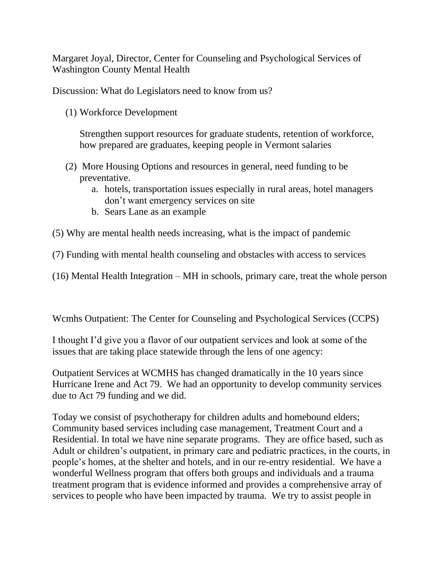Margaret Joyal, Director, Center for Counseling and Psychological Services of Washington County Mental Health

Discussion: What do Legislators need to know from us?

(1) Workforce Development

Strengthen support resources for graduate students, retention of workforce, how prepared are graduates, keeping people in Vermont salaries

- (2) More Housing Options and resources in general, need funding to be preventative.
	- a. hotels, transportation issues especially in rural areas, hotel managers don't want emergency services on site
	- b. Sears Lane as an example
- (5) Why are mental health needs increasing, what is the impact of pandemic
- (7) Funding with mental health counseling and obstacles with access to services

(16) Mental Health Integration – MH in schools, primary care, treat the whole person

Wcmhs Outpatient: The Center for Counseling and Psychological Services (CCPS)

I thought I'd give you a flavor of our outpatient services and look at some of the issues that are taking place statewide through the lens of one agency:

Outpatient Services at WCMHS has changed dramatically in the 10 years since Hurricane Irene and Act 79. We had an opportunity to develop community services due to Act 79 funding and we did.

Today we consist of psychotherapy for children adults and homebound elders; Community based services including case management, Treatment Court and a Residential. In total we have nine separate programs. They are office based, such as Adult or children's outpatient, in primary care and pediatric practices, in the courts, in people's homes, at the shelter and hotels, and in our re-entry residential. We have a wonderful Wellness program that offers both groups and individuals and a trauma treatment program that is evidence informed and provides a comprehensive array of services to people who have been impacted by trauma. We try to assist people in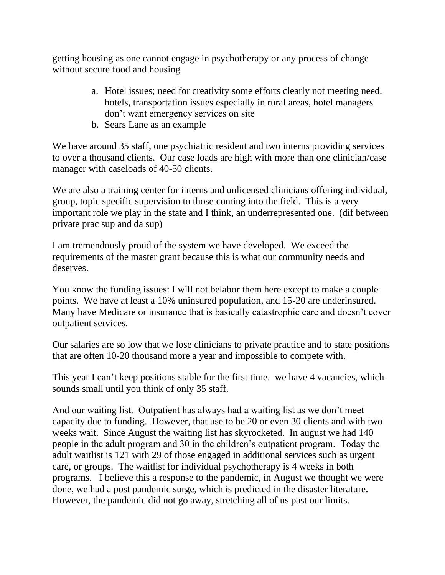getting housing as one cannot engage in psychotherapy or any process of change without secure food and housing

- a. Hotel issues; need for creativity some efforts clearly not meeting need. hotels, transportation issues especially in rural areas, hotel managers don't want emergency services on site
- b. Sears Lane as an example

We have around 35 staff, one psychiatric resident and two interns providing services to over a thousand clients. Our case loads are high with more than one clinician/case manager with caseloads of 40-50 clients.

We are also a training center for interns and unlicensed clinicians offering individual, group, topic specific supervision to those coming into the field. This is a very important role we play in the state and I think, an underrepresented one. (dif between private prac sup and da sup)

I am tremendously proud of the system we have developed. We exceed the requirements of the master grant because this is what our community needs and deserves.

You know the funding issues: I will not belabor them here except to make a couple points. We have at least a 10% uninsured population, and 15-20 are underinsured. Many have Medicare or insurance that is basically catastrophic care and doesn't cover outpatient services.

Our salaries are so low that we lose clinicians to private practice and to state positions that are often 10-20 thousand more a year and impossible to compete with.

This year I can't keep positions stable for the first time. we have 4 vacancies, which sounds small until you think of only 35 staff.

And our waiting list. Outpatient has always had a waiting list as we don't meet capacity due to funding. However, that use to be 20 or even 30 clients and with two weeks wait. Since August the waiting list has skyrocketed. In august we had 140 people in the adult program and 30 in the children's outpatient program. Today the adult waitlist is 121 with 29 of those engaged in additional services such as urgent care, or groups. The waitlist for individual psychotherapy is 4 weeks in both programs. I believe this a response to the pandemic, in August we thought we were done, we had a post pandemic surge, which is predicted in the disaster literature. However, the pandemic did not go away, stretching all of us past our limits.